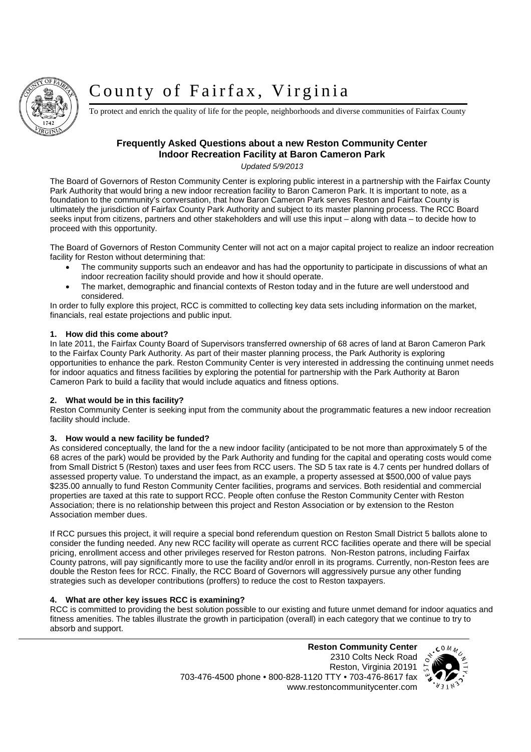

# County of Fairfax, Virginia

To protect and enrich the quality of life for the people, neighborhoods and diverse communities of Fairfax County

### **Frequently Asked Questions about a new Reston Community Center Indoor Recreation Facility at Baron Cameron Park**

*Updated 5/9/2013*

The Board of Governors of Reston Community Center is exploring public interest in a partnership with the Fairfax County Park Authority that would bring a new indoor recreation facility to Baron Cameron Park. It is important to note, as a foundation to the community's conversation, that how Baron Cameron Park serves Reston and Fairfax County is ultimately the jurisdiction of Fairfax County Park Authority and subject to its master planning process. The RCC Board seeks input from citizens, partners and other stakeholders and will use this input – along with data – to decide how to proceed with this opportunity.

The Board of Governors of Reston Community Center will not act on a major capital project to realize an indoor recreation facility for Reston without determining that:

- The community supports such an endeavor and has had the opportunity to participate in discussions of what an indoor recreation facility should provide and how it should operate.
- The market, demographic and financial contexts of Reston today and in the future are well understood and considered.

In order to fully explore this project, RCC is committed to collecting key data sets including information on the market, financials, real estate projections and public input.

#### **1. How did this come about?**

In late 2011, the Fairfax County Board of Supervisors transferred ownership of 68 acres of land at Baron Cameron Park to the Fairfax County Park Authority. As part of their master planning process, the Park Authority is exploring opportunities to enhance the park. Reston Community Center is very interested in addressing the continuing unmet needs for indoor aquatics and fitness facilities by exploring the potential for partnership with the Park Authority at Baron Cameron Park to build a facility that would include aquatics and fitness options.

#### **2. What would be in this facility?**

Reston Community Center is seeking input from the community about the programmatic features a new indoor recreation facility should include.

#### **3. How would a new facility be funded?**

As considered conceptually, the land for the a new indoor facility (anticipated to be not more than approximately 5 of the 68 acres of the park) would be provided by the Park Authority and funding for the capital and operating costs would come from Small District 5 (Reston) taxes and user fees from RCC users. The SD 5 tax rate is 4.7 cents per hundred dollars of assessed property value. To understand the impact, as an example, a property assessed at \$500,000 of value pays \$235.00 annually to fund Reston Community Center facilities, programs and services. Both residential and commercial properties are taxed at this rate to support RCC. People often confuse the Reston Community Center with Reston Association; there is no relationship between this project and Reston Association or by extension to the Reston Association member dues.

If RCC pursues this project, it will require a special bond referendum question on Reston Small District 5 ballots alone to consider the funding needed. Any new RCC facility will operate as current RCC facilities operate and there will be special pricing, enrollment access and other privileges reserved for Reston patrons. Non-Reston patrons, including Fairfax County patrons, will pay significantly more to use the facility and/or enroll in its programs. Currently, non-Reston fees are double the Reston fees for RCC. Finally, the RCC Board of Governors will aggressively pursue any other funding strategies such as developer contributions (proffers) to reduce the cost to Reston taxpayers.

#### **4. What are other key issues RCC is examining?**

RCC is committed to providing the best solution possible to our existing and future unmet demand for indoor aquatics and fitness amenities. The tables illustrate the growth in participation (overall) in each category that we continue to try to absorb and support.

> 2310 Colts Neck Road Reston, Virginia 20191 703-476-4500 phone • 800-828-1120 TTY • 703-476-8617 fax www.restoncommunitycenter.com

**Reston Community Center**

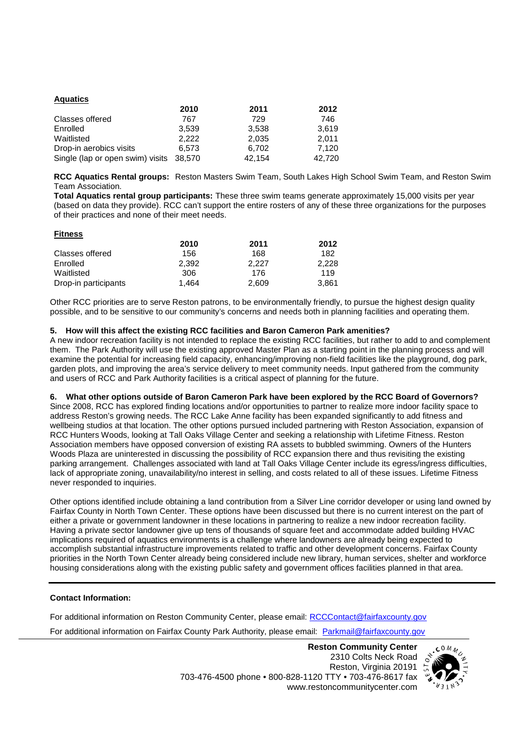| <b>Aquatics</b>                  |        |        |        |
|----------------------------------|--------|--------|--------|
|                                  | 2010   | 2011   | 2012   |
| Classes offered                  | 767    | 729    | 746    |
| Enrolled                         | 3,539  | 3,538  | 3.619  |
| Waitlisted                       | 2.222  | 2,035  | 2.011  |
| Drop-in aerobics visits          | 6.573  | 6,702  | 7.120  |
| Single (lap or open swim) visits | 38,570 | 42,154 | 42,720 |

**RCC Aquatics Rental groups:** Reston Masters Swim Team, South Lakes High School Swim Team, and Reston Swim Team Association.

**Total Aquatics rental group participants:** These three swim teams generate approximately 15,000 visits per year (based on data they provide). RCC can't support the entire rosters of any of these three organizations for the purposes of their practices and none of their meet needs.

| <b>Fitness</b>       |       |       |       |
|----------------------|-------|-------|-------|
|                      | 2010  | 2011  | 2012  |
| Classes offered      | 156   | 168   | 182   |
| Enrolled             | 2.392 | 2.227 | 2.228 |
| Waitlisted           | 306   | 176   | 119   |
| Drop-in participants | 1.464 | 2.609 | 3.861 |

Other RCC priorities are to serve Reston patrons, to be environmentally friendly, to pursue the highest design quality possible, and to be sensitive to our community's concerns and needs both in planning facilities and operating them.

#### **5. How will this affect the existing RCC facilities and Baron Cameron Park amenities?**

A new indoor recreation facility is not intended to replace the existing RCC facilities, but rather to add to and complement them. The Park Authority will use the existing approved Master Plan as a starting point in the planning process and will examine the potential for increasing field capacity, enhancing/improving non-field facilities like the playground, dog park, garden plots, and improving the area's service delivery to meet community needs. Input gathered from the community and users of RCC and Park Authority facilities is a critical aspect of planning for the future.

#### **6. What other options outside of Baron Cameron Park have been explored by the RCC Board of Governors?**

Since 2008, RCC has explored finding locations and/or opportunities to partner to realize more indoor facility space to address Reston's growing needs. The RCC Lake Anne facility has been expanded significantly to add fitness and wellbeing studios at that location. The other options pursued included partnering with Reston Association, expansion of RCC Hunters Woods, looking at Tall Oaks Village Center and seeking a relationship with Lifetime Fitness. Reston Association members have opposed conversion of existing RA assets to bubbled swimming. Owners of the Hunters Woods Plaza are uninterested in discussing the possibility of RCC expansion there and thus revisiting the existing parking arrangement. Challenges associated with land at Tall Oaks Village Center include its egress/ingress difficulties, lack of appropriate zoning, unavailability/no interest in selling, and costs related to all of these issues. Lifetime Fitness never responded to inquiries.

Other options identified include obtaining a land contribution from a Silver Line corridor developer or using land owned by Fairfax County in North Town Center. These options have been discussed but there is no current interest on the part of either a private or government landowner in these locations in partnering to realize a new indoor recreation facility. Having a private sector landowner give up tens of thousands of square feet and accommodate added building HVAC implications required of aquatics environments is a challenge where landowners are already being expected to accomplish substantial infrastructure improvements related to traffic and other development concerns. Fairfax County priorities in the North Town Center already being considered include new library, human services, shelter and workforce housing considerations along with the existing public safety and government offices facilities planned in that area.

#### **Contact Information:**

**Fitness**

For additional information on Reston Community Center, please email: RCCContact@fairfaxcounty.gov For additional information on Fairfax County Park Authority, please email: Parkmail@fairfaxcounty.gov

> 2310 Colts Neck Road Reston, Virginia 20191 703-476-4500 phone • 800-828-1120 TTY • 703-476-8617 fax www.restoncommunitycenter.com

**Reston Community Center**